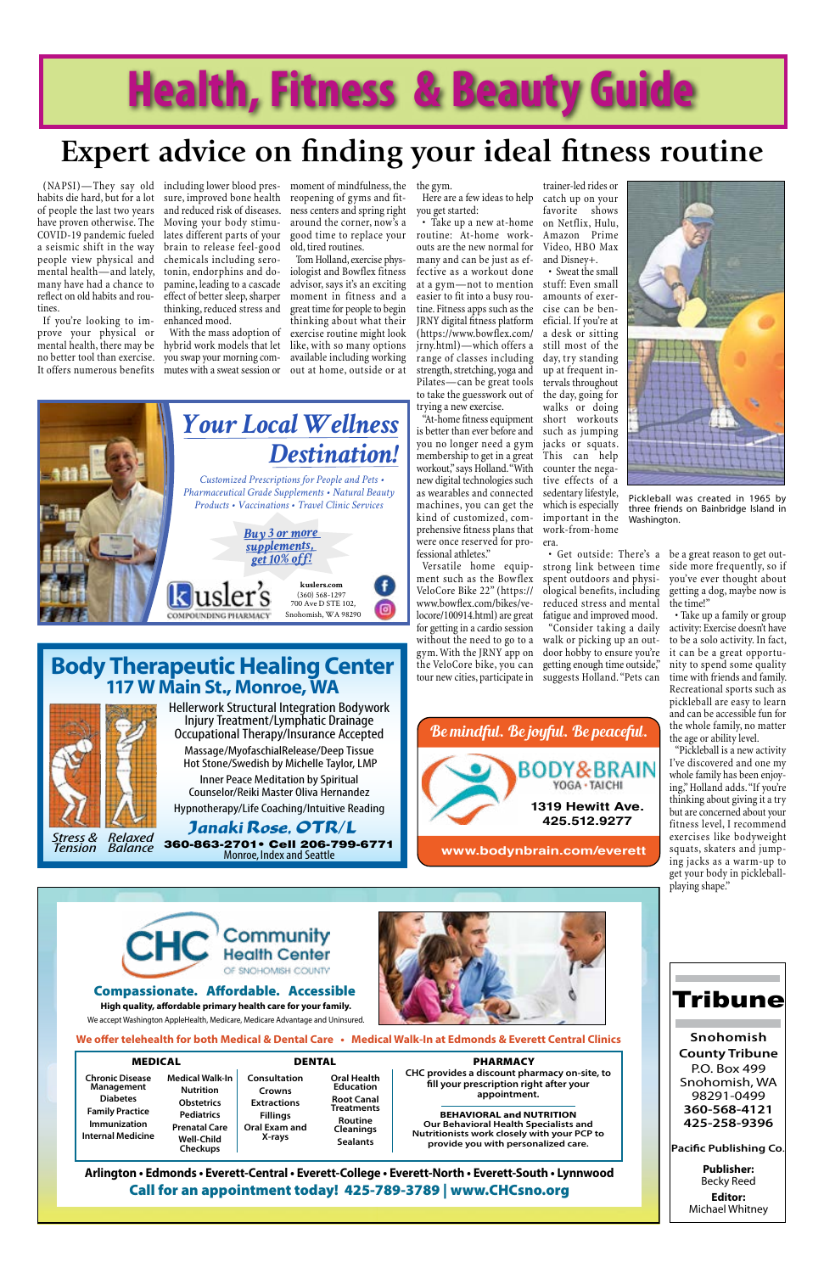**Publisher:** Becky Reed

**Editor:**  Michael Whitney

### **Snohomish County Tribune** P.O. Box 499 Snohomish, WA 98291-0499 **360-568-4121**

**425-258-9396**

Tribune

**Pacific Publishing Co**.

*Tension*

*Balance* 360-863-2701• Cell 206-799-6771 Monroe, Index and Seattle

Janaki **Kose, OTR/L**<br>Stress & Relaxed 360-863-2701 • Cell 206-799 Hypnotherapy/Life Coaching/Intuitive Reading

Hellerwork Structural Integration Bodywork Injury Treatment/Lymphatic Drainage Occupational Therapy/Insurance Accepted

Massage/MyofaschialRelease/Deep Tissue Hot Stone/Swedish by Michelle Taylor, LMP

Inner Peace Meditation by Spiritual Counselor/Reiki Master Oliva Hernandez

### **Body Therapeutic Healing Center 117 W Main St., Monroe, WA**



Stress & Relaxed<br>Tension Balance

## **Health, Fitness & Beauty Guide**

habits die hard, but for a lot of people the last two years have proven otherwise. The COVID-19 pandemic fueled a seismic shift in the way people view physical and mental health—and lately, many have had a chance to reflect on old habits and routines.

If you're looking to improve your physical or mental health, there may be no better tool than exercise.

(NAPSI)—They say old including lower blood pres-moment of mindfulness, the the gym. sure, improved bone health and reduced risk of diseases. Moving your body stimulates different parts of your brain to release feel-good chemicals including serotonin, endorphins and dopamine, leading to a cascade effect of better sleep, sharper moment in fitness and a thinking, reduced stress and enhanced mood.

It offers numerous benefits mutes with a sweat session or out at home, outside or at With the mass adoption of hybrid work models that let like, with so many options you swap your morning com-

reopening of gyms and fitness centers and spring right around the corner, now's a good time to replace your old, tired routines.

Tom Holland, exercise physiologist and Bowflex fitness advisor, says it's an exciting great time for people to begin thinking about what their exercise routine might look available including working

Here are a few ideas to help catch up on your you get started:

• Take up a new at-home on Netflix, Hulu, routine: At-home workouts are the new normal for many and can be just as effective as a workout done at a gym—not to mention stuff: Even small easier to fit into a busy rou-amounts of exertine. Fitness apps such as the cise can be ben-JRNY digital fitness platform eficial. If you're at (https://www.bowflex.com/ jrny.html)—which offers a still most of the range of classes including day, try standing strength, stretching, yoga and up at frequent in-Pilates—can be great tools to take the guesswork out of the day, going for trying a new exercise.

"At-home fitness equipment short workouts is better than ever before and you no longer need a gym membership to get in a great workout," says Holland. "With new digital technologies such as wearables and connected machines, you can get the kind of customized, comprehensive fitness plans that were once reserved for professional athletes."



Versatile home equip-strong link between time ment such as the Bowflex spent outdoors and physi-VeloCore Bike 22" (https:// www.bowflex.com/bikes/velocore/100914.html) are great for getting in a cardio session without the need to go to a walk or picking up an outgym. With the JRNY app on the VeloCore bike, you can getting enough time outside," tour new cities, participate in suggests Holland. "Pets can

tervals throughout

walks or doing

such as jumping jacks or squats. This can help counter the negative effects of a sedentary lifestyle, which is especially important in the work-from-home

era.

• Get outside: There's a

ological benefits, including reduced stress and mental fatigue and improved mood. "Consider taking a daily

door hobby to ensure you're

be a great reason to get outside more frequently, so if you've ever thought about getting a dog, maybe now is the time!"

• Take up a family or group activity: Exercise doesn't have to be a solo activity. In fact, it can be a great opportunity to spend some quality time with friends and family. Recreational sports such as pickleball are easy to learn and can be accessible fun for the whole family, no matter the age or ability level.

"Pickleball is a new activity I've discovered and one my whole family has been enjoying," Holland adds. "If you're thinking about giving it a try but are concerned about your fitness level, I recommend exercises like bodyweight squats, skaters and jumping jacks as a warm-up to get your body in pickleballplaying shape."

## **Expert advice on finding your ideal fitness routine**



Pickleball was created in 1965 by three friends on Bainbridge Island in Washington.





**Arlington • Edmonds • Everett-Central • Everett-College • Everett-North • Everett-South • Lynnwood**  Call for an appointment today! 425-789-3789 | www.CHCsno.org

| <b>MEDICAL</b>                                                                                                                |                                                                                                                                                      | <b>DENTAL</b>                                                                              |                                                                                                                                           |
|-------------------------------------------------------------------------------------------------------------------------------|------------------------------------------------------------------------------------------------------------------------------------------------------|--------------------------------------------------------------------------------------------|-------------------------------------------------------------------------------------------------------------------------------------------|
| <b>Chronic Disease</b><br>Management<br><b>Diabetes</b><br><b>Family Practice</b><br>Immunization<br><b>Internal Medicine</b> | <b>Medical Walk-In</b><br><b>Nutrition</b><br><b>Obstetrics</b><br><b>Pediatrics</b><br><b>Prenatal Care</b><br><b>Well-Child</b><br><b>Checkups</b> | Consultation<br>Crowns<br><b>Extractions</b><br><b>Fillings</b><br>Oral Exam and<br>X-rays | <b>Oral Health</b><br><b>Education</b><br><b>Root Canal</b><br><b>Treatments</b><br><b>Routine</b><br><b>Cleanings</b><br><b>Sealants</b> |

#### PHARMACY

**BEHAVIORAL and NUTRITION Our Behavioral Health Specialists and Nutritionists work closely with your PCP to provide you with personalized care.**

**CHC provides a discount pharmacy on-site, to fill your prescription right after your appointment.**

We accept Washington AppleHealth, Medicare, Medicare Advantage and Uninsured.



### Compassionate. Affordable. Accessible

**We offer telehealth for both Medical & Dental Care • Medical Walk-In at Edmonds & Everett Central Clinics**